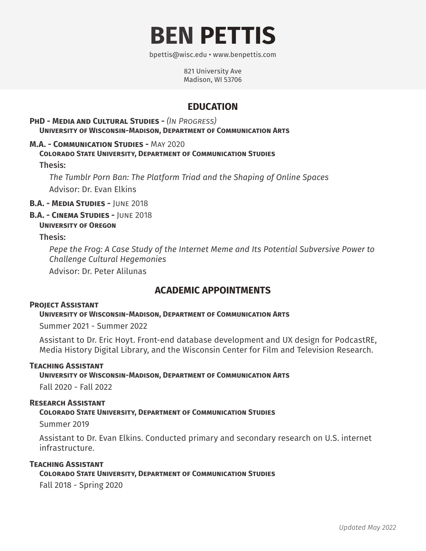

bpettis@wisc.edu • www.benpettis.com

821 University Ave Madison, WI 53706

# **EDUCATION**

#### **PhD - Media and Cultural Studies -** *(In Progress)* **University of Wisconsin-Madison, Department of Communication Arts**

#### **M.A. - Communication Studies -** May 2020 **Colorado State University, Department of Communication Studies**

Thesis:

*The Tumblr Porn Ban: The Platform Triad and the Shaping of Online Spaces* Advisor: Dr. Evan Elkins

**B.A. - Media Studies -** June 2018

**B.A. - Cinema Studies -** June 2018

#### **University of Oregon**

Thesis:

*Pepe the Frog: A Case Study of the Internet Meme and Its Potential Subversive Power to Challenge Cultural Hegemonies*

Advisor: Dr. Peter Alilunas

## **ACADEMIC APPOINTMENTS**

#### **Project Assistant**

**University of Wisconsin-Madison, Department of Communication Arts**

Summer 2021 - Summer 2022

Assistant to Dr. Eric Hoyt. Front-end database development and UX design for PodcastRE, Media History Digital Library, and the Wisconsin Center for Film and Television Research.

#### **Teaching Assistant**

**University of Wisconsin-Madison, Department of Communication Arts**

Fall 2020 - Fall 2022

#### **Research Assistant**

**Colorado State University, Department of Communication Studies**

Summer 2019

Assistant to Dr. Evan Elkins. Conducted primary and secondary research on U.S. internet infrastructure.

#### **Teaching Assistant**

**Colorado State University, Department of Communication Studies**

Fall 2018 - Spring 2020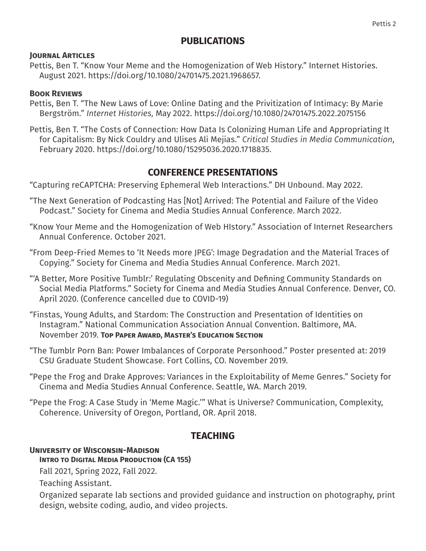## **PUBLICATIONS**

#### **Journal Articles**

Pettis, Ben T. "Know Your Meme and the Homogenization of Web History." Internet Histories. August 2021. https://doi.org/10.1080/24701475.2021.1968657.

#### **Book Reviews**

- Pettis, Ben T. "The New Laws of Love: Online Dating and the Privitization of Intimacy: By Marie Bergström." *Internet Histories,* May 2022. https://doi.org/10.1080/24701475.2022.2075156
- Pettis, Ben T. "The Costs of Connection: How Data Is Colonizing Human Life and Appropriating It for Capitalism: By Nick Couldry and Ulises Ali Mejias." *Critical Studies in Media Communication*, February 2020. https://doi.org/10.1080/15295036.2020.1718835.

## **CONFERENCE PRESENTATIONS**

"Capturing reCAPTCHA: Preserving Ephemeral Web Interactions." DH Unbound. May 2022.

- "The Next Generation of Podcasting Has [Not] Arrived: The Potential and Failure of the Video Podcast." Society for Cinema and Media Studies Annual Conference. March 2022.
- "Know Your Meme and the Homogenization of Web HIstory." Association of Internet Researchers Annual Conference. October 2021.
- "From Deep-Fried Memes to 'It Needs more JPEG': Image Degradation and the Material Traces of Copying." Society for Cinema and Media Studies Annual Conference. March 2021.
- "'A Better, More Positive Tumblr:' Regulating Obscenity and Defining Community Standards on Social Media Platforms." Society for Cinema and Media Studies Annual Conference. Denver, CO. April 2020. (Conference cancelled due to COVID-19)
- "Finstas, Young Adults, and Stardom: The Construction and Presentation of Identities on Instagram." National Communication Association Annual Convention. Baltimore, MA. November 2019. **Top Paper Award, Master's Education Section**
- "The Tumblr Porn Ban: Power Imbalances of Corporate Personhood." Poster presented at: 2019 CSU Graduate Student Showcase. Fort Collins, CO. November 2019.
- "Pepe the Frog and Drake Approves: Variances in the Exploitability of Meme Genres." Society for Cinema and Media Studies Annual Conference. Seattle, WA. March 2019.
- "Pepe the Frog: A Case Study in 'Meme Magic.'" What is Universe? Communication, Complexity, Coherence. University of Oregon, Portland, OR. April 2018.

# **TEACHING**

### **University of Wisconsin-Madison**

**INTRO TO DIGITAL MEDIA PRODUCTION (CA 155)** 

Fall 2021, Spring 2022, Fall 2022.

Teaching Assistant.

Organized separate lab sections and provided guidance and instruction on photography, print design, website coding, audio, and video projects.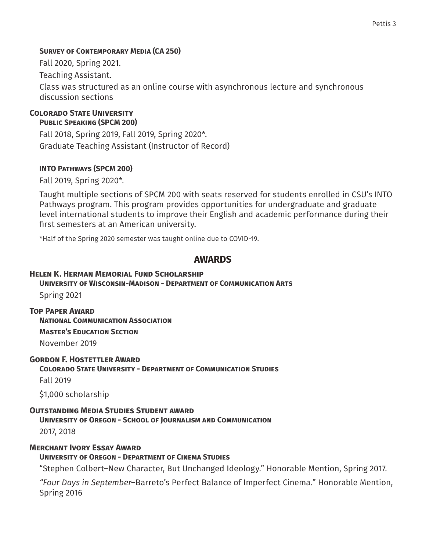#### **Survey of Contemporary Media (CA 250)**

Fall 2020, Spring 2021.

Teaching Assistant.

Class was structured as an online course with asynchronous lecture and synchronous discussion sections

## **Colorado State University**

### **Public Speaking (SPCM 200)**

Fall 2018, Spring 2019, Fall 2019, Spring 2020\*. Graduate Teaching Assistant (Instructor of Record)

### **INTO Pathways (SPCM 200)**

Fall 2019, Spring 2020\*.

Taught multiple sections of SPCM 200 with seats reserved for students enrolled in CSU's INTO Pathways program. This program provides opportunities for undergraduate and graduate level international students to improve their English and academic performance during their first semesters at an American university.

\*Half of the Spring 2020 semester was taught online due to COVID-19.

### **AWARDS**

#### **Helen K. Herman Memorial Fund Scholarship**

#### **University of Wisconsin-Madison - Department of Communication Arts**

Spring 2021

### **Top Paper Award**

**National Communication Association**

**Master's Education Section**

November 2019

### **Gordon F. Hostettler Award**

### **Colorado State University - Department of Communication Studies**

Fall 2019

\$1,000 scholarship

### **Outstanding Media Studies Student award**

**University of Oregon - School of Journalism and Communication**

2017, 2018

### **Merchant Ivory Essay Award**

### **University of Oregon - Department of Cinema Studies**

"Stephen Colbert–New Character, But Unchanged Ideology." Honorable Mention, Spring 2017.

*"Four Days in September*–Barreto's Perfect Balance of Imperfect Cinema." Honorable Mention, Spring 2016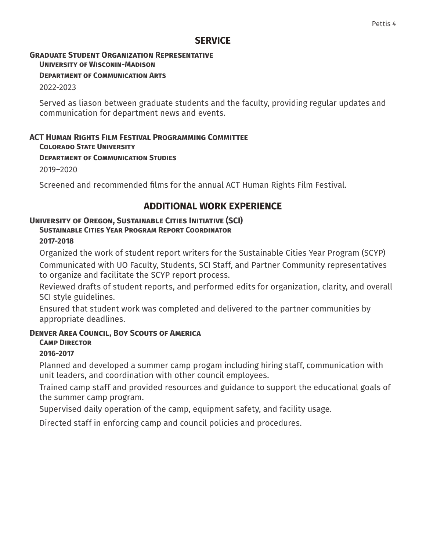### **SERVICE**

## **Graduate Student Organization Representative**

**University of Wisconin-Madison**

#### **Department of Communication Arts**

2022-2023

Served as liason between graduate students and the faculty, providing regular updates and communication for department news and events.

#### **ACT Human Rights Film Festival Programming Committee Colorado State University**

## **Department of Communication Studies**

2019–2020

Screened and recommended films for the annual ACT Human Rights Film Festival.

# **ADDITIONAL WORK EXPERIENCE**

### **University of Oregon, Sustainable Cities Initiative (SCI)**

### **Sustainable Cities Year Program Report Coordinator**

### **2017-2018**

Organized the work of student report writers for the Sustainable Cities Year Program (SCYP) Communicated with UO Faculty, Students, SCI Staff, and Partner Community representatives to organize and facilitate the SCYP report process.

Reviewed drafts of student reports, and performed edits for organization, clarity, and overall SCI style guidelines.

Ensured that student work was completed and delivered to the partner communities by appropriate deadlines.

### **Denver Area Council, Boy Scouts of America**

## **Camp Director**

### **2016-2017**

Planned and developed a summer camp progam including hiring staff, communication with unit leaders, and coordination with other council employees.

Trained camp staff and provided resources and guidance to support the educational goals of the summer camp program.

Supervised daily operation of the camp, equipment safety, and facility usage.

Directed staff in enforcing camp and council policies and procedures.